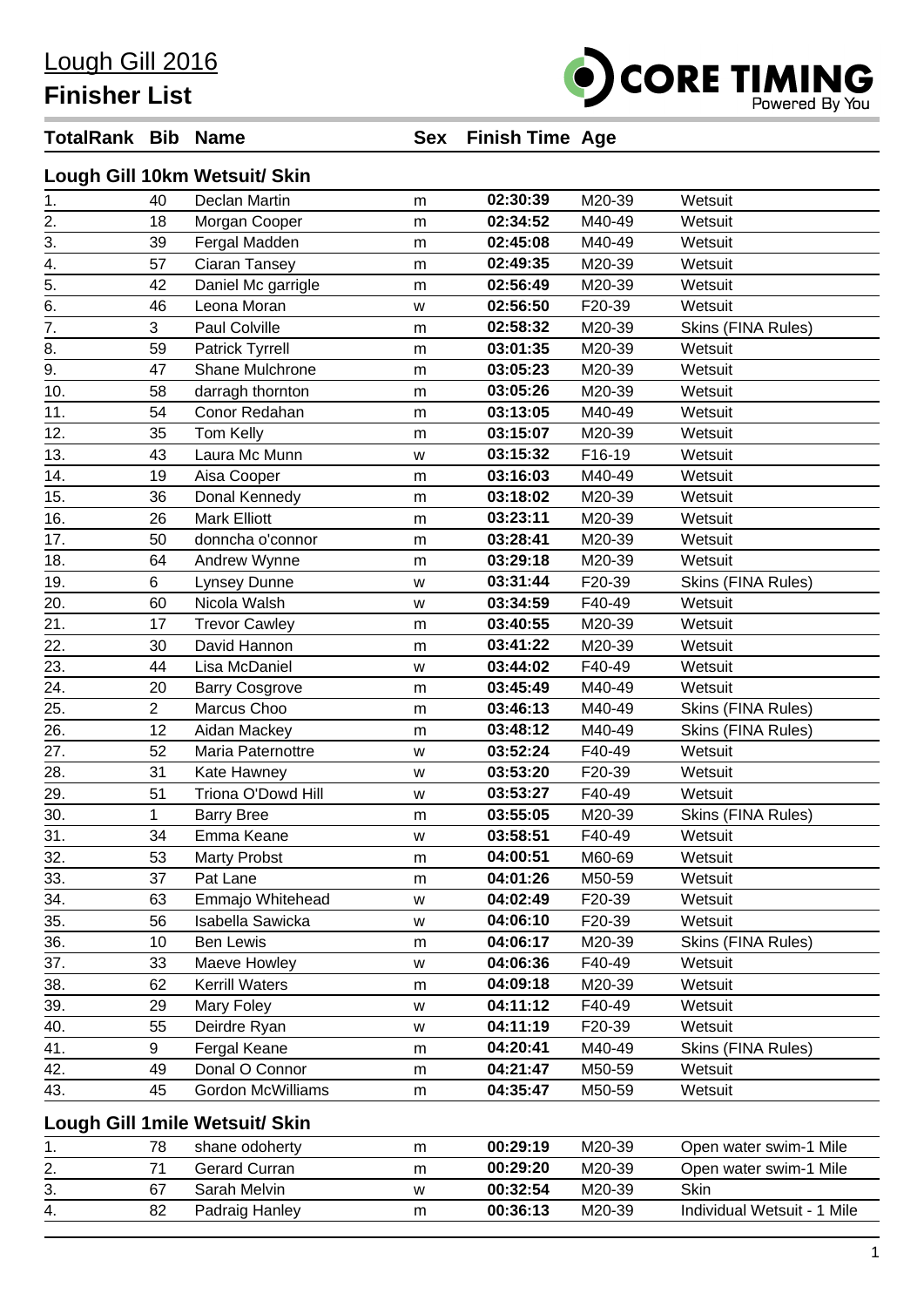**Finisher List**

## OCORE TIMING

## **TotalRank Bib Name Sex Finish Time Age**

|                  |                | Lough Gill 10km Wetsuit/ Skin   |   |          |        |                             |
|------------------|----------------|---------------------------------|---|----------|--------|-----------------------------|
| 1.               | 40             | Declan Martin                   | m | 02:30:39 | M20-39 | Wetsuit                     |
|                  | 18             | Morgan Cooper                   | m | 02:34:52 | M40-49 | Wetsuit                     |
| $\frac{2}{3}$ .  | 39             | Fergal Madden                   | m | 02:45:08 | M40-49 | Wetsuit                     |
| 4.               | 57             | Ciaran Tansey                   | m | 02:49:35 | M20-39 | Wetsuit                     |
| $\overline{5}$ . | 42             | Daniel Mc garrigle              | m | 02:56:49 | M20-39 | Wetsuit                     |
| 6.               | 46             | Leona Moran                     | W | 02:56:50 | F20-39 | Wetsuit                     |
| $\overline{7}$ . | 3              | Paul Colville                   | m | 02:58:32 | M20-39 | Skins (FINA Rules)          |
| 8.               | 59             | Patrick Tyrrell                 | m | 03:01:35 | M20-39 | Wetsuit                     |
| $\overline{9}$ . | 47             | Shane Mulchrone                 | m | 03:05:23 | M20-39 | Wetsuit                     |
| 10.              | 58             | darragh thornton                | m | 03:05:26 | M20-39 | Wetsuit                     |
| 11.              | 54             | Conor Redahan                   | m | 03:13:05 | M40-49 | Wetsuit                     |
| 12.              | 35             | Tom Kelly                       | m | 03:15:07 | M20-39 | Wetsuit                     |
| 13.              | 43             | Laura Mc Munn                   | W | 03:15:32 | F16-19 | Wetsuit                     |
| 14.              | 19             | Aisa Cooper                     | m | 03:16:03 | M40-49 | Wetsuit                     |
| 15.              | 36             | Donal Kennedy                   | m | 03:18:02 | M20-39 | Wetsuit                     |
| 16.              | 26             | <b>Mark Elliott</b>             | m | 03:23:11 | M20-39 | Wetsuit                     |
| 17.              | 50             | donncha o'connor                | m | 03:28:41 | M20-39 | Wetsuit                     |
| 18.              | 64             | Andrew Wynne                    | m | 03:29:18 | M20-39 | Wetsuit                     |
| 19.              | 6              | Lynsey Dunne                    | W | 03:31:44 | F20-39 | Skins (FINA Rules)          |
| 20.              | 60             | Nicola Walsh                    | W | 03:34:59 | F40-49 | Wetsuit                     |
| 21.              | 17             | <b>Trevor Cawley</b>            | m | 03:40:55 | M20-39 | Wetsuit                     |
| 22.              | 30             | David Hannon                    | m | 03:41:22 | M20-39 | Wetsuit                     |
| 23.              | 44             | Lisa McDaniel                   | W | 03:44:02 | F40-49 | Wetsuit                     |
| 24.              | 20             | <b>Barry Cosgrove</b>           | m | 03:45:49 | M40-49 | Wetsuit                     |
| 25.              | $\overline{2}$ | Marcus Choo                     | m | 03:46:13 | M40-49 | Skins (FINA Rules)          |
| 26.              | 12             | Aidan Mackey                    | m | 03:48:12 | M40-49 | Skins (FINA Rules)          |
| 27.              | 52             | Maria Paternottre               | w | 03:52:24 | F40-49 | Wetsuit                     |
| 28.              | 31             | Kate Hawney                     | W | 03:53:20 | F20-39 | Wetsuit                     |
| 29.              | 51             | Triona O'Dowd Hill              | W | 03:53:27 | F40-49 | Wetsuit                     |
| 30.              | 1              | <b>Barry Bree</b>               | m | 03:55:05 | M20-39 | Skins (FINA Rules)          |
| 31.              | 34             | Emma Keane                      | W | 03:58:51 | F40-49 | Wetsuit                     |
| 32.              | 53             | <b>Marty Probst</b>             | m | 04:00:51 | M60-69 | Wetsuit                     |
| 33.              | 37             | Pat Lane                        | m | 04:01:26 | M50-59 | Wetsuit                     |
| 34.              | 63             | Emmajo Whitehead                | W | 04:02:49 | F20-39 | Wetsuit                     |
| 35.              | 56             | Isabella Sawicka                | W | 04:06:10 | F20-39 | Wetsuit                     |
| 36.              | 10             | <b>Ben Lewis</b>                | m | 04:06:17 | M20-39 | Skins (FINA Rules)          |
| 37.              | 33             | Maeve Howley                    | W | 04:06:36 | F40-49 | Wetsuit                     |
| 38.              | 62             | Kerrill Waters                  | m | 04:09:18 | M20-39 | Wetsuit                     |
| 39.              | 29             | Mary Foley                      | W | 04:11:12 | F40-49 | Wetsuit                     |
| 40.              | 55             | Deirdre Ryan                    | W | 04:11:19 | F20-39 | Wetsuit                     |
| 41.              | 9              | Fergal Keane                    | m | 04:20:41 | M40-49 | Skins (FINA Rules)          |
| 42.              | 49             | Donal O Connor                  | m | 04:21:47 | M50-59 | Wetsuit                     |
| 43.              | 45             | <b>Gordon McWilliams</b>        | m | 04:35:47 | M50-59 | Wetsuit                     |
|                  |                | Lough Gill 1 mile Wetsuit/ Skin |   |          |        |                             |
| 1.               | 78             | shane odoherty                  | m | 00:29:19 | M20-39 | Open water swim-1 Mile      |
| 2.               | 71             | Gerard Curran                   | m | 00:29:20 | M20-39 | Open water swim-1 Mile      |
| 3.               | 67             | Sarah Melvin                    | w | 00:32:54 | M20-39 | <b>Skin</b>                 |
| 4.               | 82             | Padraig Hanley                  | m | 00:36:13 | M20-39 | Individual Wetsuit - 1 Mile |
|                  |                |                                 |   |          |        |                             |